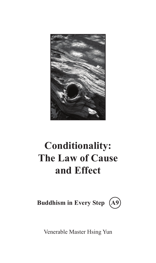

# **Conditionality: The Law of Cause and Effect**



Venerable Master Hsing Yun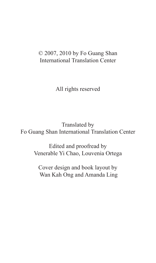## © 2007, 2010 by Fo Guang Shan International Translation Center

All rights reserved

Translated by Fo Guang Shan International Translation Center

> Edited and proofread by Venerable Yi Chao, Louvenia Ortega

Cover design and book layout by Wan Kah Ong and Amanda Ling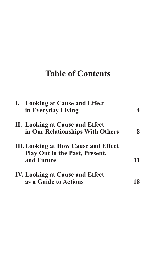# **Table of Contents**

|  | I. Looking at Cause and Effect<br>in Everyday Living |    |
|--|------------------------------------------------------|----|
|  | II. Looking at Cause and Effect                      |    |
|  | in Our Relationships With Others                     |    |
|  | <b>III. Looking at How Cause and Effect</b>          |    |
|  | <b>Play Out in the Past, Present,</b>                |    |
|  | and Future                                           | 11 |
|  | <b>IV. Looking at Cause and Effect</b>               |    |
|  | as a Guide to Actions                                |    |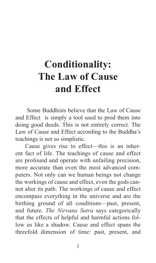# **Conditionality: The Law of Cause and Effect**

 Some Buddhists believe that the Law of Cause and Effect is simply a tool used to prod them into doing good deeds. This is not entirely correct. The Law of Cause and Effect according to the Buddha's teachings is not so simplistic.

Cause gives rise to effect—this is an inherent fact of life. The teachings of cause and effect are profound and operate with unfailing precision, more accurate than even the most advanced computers. Not only can we human beings not change the workings of cause and effect, even the gods cannot alter its path. The workings of cause and effect encompass everything in the universe and are the birthing ground of all conditions—past, present, and future. *The Nirvana Sutra* says categorically that the effects of helpful and harmful actions follow us like a shadow. Cause and effect spans the threefold dimension of time: past, present, and

1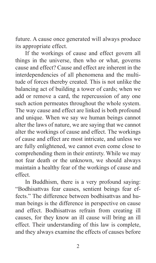future. A cause once generated will always produce its appropriate effect.

If the workings of cause and effect govern all things in the universe, then who or what, governs cause and effect? Cause and effect are inherent in the interdependencies of all phenomena and the multitude of forces thereby created. This is not unlike the balancing act of building a tower of cards; when we add or remove a card, the repercussion of any one such action permeates throughout the whole system. The way cause and effect are linked is both profound and unique. When we say we human beings cannot alter the laws of nature, we are saying that we cannot alter the workings of cause and effect. The workings of cause and effect are most intricate, and unless we are fully enlightened, we cannot even come close to comprehending them in their entirety. While we may not fear death or the unknown, we should always maintain a healthy fear of the workings of cause and effect.

In Buddhism, there is a very profound saying: "Bodhisattvas fear causes, sentient beings fear effects." The difference between bodhisattvas and human beings is the difference in perspective on cause and effect. Bodhisattvas refrain from creating ill causes, for they know an ill cause will bring an ill effect. Their understanding of this law is complete, and they always examine the effects of causes before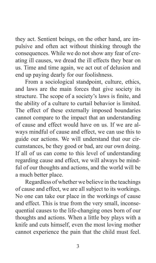they act. Sentient beings, on the other hand, are impulsive and often act without thinking through the consequences. While we do not show any fear of creating ill causes, we dread the ill effects they bear on us. Time and time again, we act out of delusion and end up paying dearly for our foolishness.

From a sociological standpoint, culture, ethics, and laws are the main forces that give society its structure. The scope of a society's laws is finite, and the ability of a culture to curtail behavior is limited. The effect of these externally imposed boundaries cannot compare to the impact that an understanding of cause and effect would have on us. If we are always mindful of cause and effect, we can use this to guide our actions. We will understand that our circumstances, be they good or bad, are our own doing. If all of us can come to this level of understanding regarding cause and effect, we will always be mindful of our thoughts and actions, and the world will be a much better place.

Regardless of whether we believe in the teachings of cause and effect, we are all subject to its workings. No one can take our place in the workings of cause and effect. This is true from the very small, inconsequential causes to the life-changing ones born of our thoughts and actions. When a little boy plays with a knife and cuts himself, even the most loving mother cannot experience the pain that the child must feel.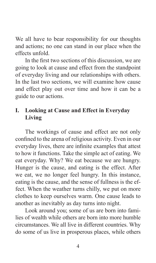We all have to bear responsibility for our thoughts and actions; no one can stand in our place when the effects unfold.

In the first two sections of this discussion, we are going to look at cause and effect from the standpoint of everyday living and our relationships with others. In the last two sections, we will examine how cause and effect play out over time and how it can be a guide to our actions.

## **I. Looking at Cause and Effect in Everyday Living**

The workings of cause and effect are not only confined to the arena of religious activity. Even in our everyday lives, there are infinite examples that attest to how it functions. Take the simple act of eating. We eat everyday. Why? We eat because we are hungry. Hunger is the cause, and eating is the effect. After we eat, we no longer feel hungry. In this instance, eating is the cause, and the sense of fullness is the effect. When the weather turns chilly, we put on more clothes to keep ourselves warm. One cause leads to another as inevitably as day turns into night.

Look around you; some of us are born into families of wealth while others are born into more humble circumstances. We all live in different countries. Why do some of us live in prosperous places, while others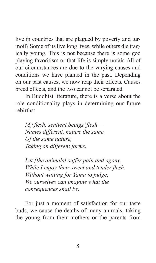live in countries that are plagued by poverty and turmoil? Some of us live long lives, while others die tragically young. This is not because there is some god playing favoritism or that life is simply unfair. All of our circumstances are due to the varying causes and conditions we have planted in the past. Depending on our past causes, we now reap their effects. Causes breed effects, and the two cannot be separated.

In Buddhist literature, there is a verse about the role conditionality plays in determining our future rebirths:

*My flesh, sentient beings' flesh— Names different, nature the same. Of the same nature, Taking on different forms.*

*Let [the animals] suffer pain and agony, While I enjoy their sweet and tender flesh. Without waiting for Yama to judge; We ourselves can imagine what the consequences shall be.*

For just a moment of satisfaction for our taste buds, we cause the deaths of many animals, taking the young from their mothers or the parents from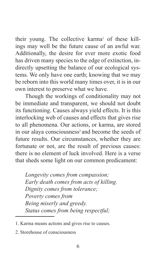their young. The collective karma<sup>1</sup> of these killings may well be the future cause of an awful war. Additionally, the desire for ever more exotic food has driven many species to the edge of extinction, indirectly upsetting the balance of our ecological systems. We only have one earth; knowing that we may be reborn into this world many times over, it is in our own interest to preserve what we have.

Though the workings of conditionality may not be immediate and transparent, we should not doubt its functioning. Causes always yield effects. It is this interlocking web of causes and effects that gives rise to all phenomena. Our actions, or karma, are stored in our alaya consciousness<sup>2</sup> and become the seeds of future results. Our circumstances, whether they are fortunate or not, are the result of previous causes: there is no element of luck involved. Here is a verse that sheds some light on our common predicament:

*Longevity comes from compassion; Early death comes from acts of killing. Dignity comes from tolerance; Poverty comes from Being miserly and greedy. Status comes from being respectful;*

<sup>1.</sup> Karma means actions and gives rise to causes.

<sup>2.</sup> Storehouse of consciousness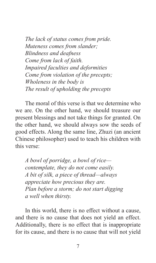*The lack of status comes from pride. Muteness comes from slander; Blindness and deafness Come from lack of faith. Impaired faculties and deformities Come from violation of the precepts; Wholeness in the body is The result of upholding the precepts*

The moral of this verse is that we determine who we are. On the other hand, we should treasure our present blessings and not take things for granted. On the other hand, we should always sow the seeds of good effects. Along the same line, Zhuzi (an ancient Chinese philosopher) used to teach his children with this verse:

*A bowl of porridge, a bowl of rice contemplate, they do not come easily. A bit of silk, a piece of thread—always appreciate how precious they are. Plan before a storm; do not start digging a well when thirsty.*

In this world, there is no effect without a cause, and there is no cause that does not yield an effect. Additionally, there is no effect that is inappropriate for its cause, and there is no cause that will not yield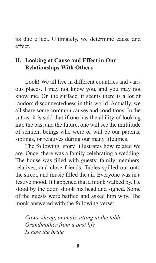its due effect. Ultimately, we determine cause and effect.

### **II. Looking at Cause and Effect in Our Relationships With Others**

Look! We all live in different countries and various places. I may not know you, and you may not know me. On the surface, it seems there is a lot of random disconnectedness in this world. Actually, we all share some common causes and conditions. In the sutras, it is said that if one has the ability of looking into the past and the future, one will see the multitude of sentient beings who were or will be our parents, siblings, or relatives during our many lifetimes.

The following story illustrates how related we are. Once, there was a family celebrating a wedding. The house was filled with guests: family members, relatives, and close friends. Tables spilled out onto the street, and music filled the air. Everyone was in a festive mood. It happened that a monk walked by. He stood by the door, shook his head and sighed. Some of the guests were baffled and asked him why. The monk answered with the following verse:

*Cows, sheep, animals sitting at the table: Grandmother from a past life Is now the bride*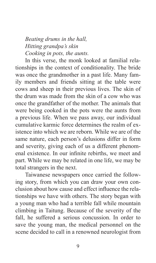## *Beating drums in the hall, Hitting grandpa's skin Cooking in pots, the aunts.*

In this verse, the monk looked at familial relationships in the context of conditionality. The bride was once the grandmother in a past life. Many family members and friends sitting at the table were cows and sheep in their previous lives. The skin of the drum was made from the skin of a cow who was once the grandfather of the mother. The animals that were being cooked in the pots were the aunts from a previous life. When we pass away, our individual cumulative karmic force determines the realm of existence into which we are reborn. While we are of the same nature, each person's delusions differ in form and severity, giving each of us a different phenomenal existence. In our infinite rebirths, we meet and part. While we may be related in one life, we may be total strangers in the next.

Taiwanese newspapers once carried the following story, from which you can draw your own conclusion about how cause and effect influence the relationships we have with others. The story began with a young man who had a terrible fall while mountain climbing in Taitung. Because of the severity of the fall, he suffered a serious concussion. In order to save the young man, the medical personnel on the scene decided to call in a renowned neurologist from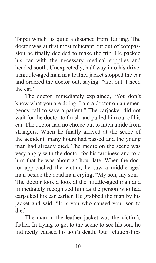Taipei which is quite a distance from Taitung. The doctor was at first most reluctant but out of compassion he finally decided to make the trip. He packed his car with the necessary medical supplies and headed south. Unexpectedly, half way into his drive, a middle-aged man in a leather jacket stopped the car and ordered the doctor out, saying, "Get out. I need the car"

The doctor immediately explained, "You don't know what you are doing. I am a doctor on an emergency call to save a patient." The carjacker did not wait for the doctor to finish and pulled him out of his car. The doctor had no choice but to hitch a ride from strangers. When he finally arrived at the scene of the accident, many hours had passed and the young man had already died. The medic on the scene was very angry with the doctor for his tardiness and told him that he was about an hour late. When the doctor approached the victim, he saw a middle-aged man beside the dead man crying, "My son, my son." The doctor took a look at the middle-aged man and immediately recognized him as the person who had carjacked his car earlier. He grabbed the man by his jacket and said, "It is you who caused your son to die."

The man in the leather jacket was the victim's father. In trying to get to the scene to see his son, he indirectly caused his son's death. Our relationships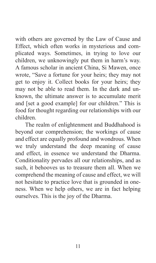with others are governed by the Law of Cause and Effect, which often works in mysterious and complicated ways. Sometimes, in trying to love our children, we unknowingly put them in harm's way. A famous scholar in ancient China, Si Mawen, once wrote, "Save a fortune for your heirs; they may not get to enjoy it. Collect books for your heirs; they may not be able to read them. In the dark and unknown, the ultimate answer is to accumulate merit and [set a good example] for our children." This is food for thought regarding our relationships with our children.

The realm of enlightenment and Buddhahood is beyond our comprehension; the workings of cause and effect are equally profound and wondrous. When we truly understand the deep meaning of cause and effect, in essence we understand the Dharma. Conditionality pervades all our relationships, and as such, it behooves us to treasure them all. When we comprehend the meaning of cause and effect, we will not hesitate to practice love that is grounded in oneness. When we help others, we are in fact helping ourselves. This is the joy of the Dharma.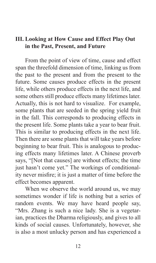#### **III. Looking at How Cause and Effect Play Out in the Past, Present, and Future**

From the point of view of time, cause and effect span the threefold dimension of time, linking us from the past to the present and from the present to the future. Some causes produce effects in the present life, while others produce effects in the next life, and some others still produce effects many lifetimes later. Actually, this is not hard to visualize. For example, some plants that are seeded in the spring yield fruit in the fall. This corresponds to producing effects in the present life. Some plants take a year to bear fruit. This is similar to producing effects in the next life. Then there are some plants that will take years before beginning to bear fruit. This is analogous to producing effects many lifetimes later. A Chinese proverb says, "[Not that causes] are without effects; the time just hasn't come yet." The workings of conditionality never misfire; it is just a matter of time before the effect becomes apparent.

When we observe the world around us, we may sometimes wonder if life is nothing but a series of random events. We may have heard people say, "Mrs. Zhang is such a nice lady. She is a vegetarian, practices the Dharma religiously, and gives to all kinds of social causes. Unfortunately, however, she is also a most unlucky person and has experienced a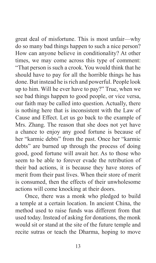great deal of misfortune. This is most unfair—why do so many bad things happen to such a nice person? How can anyone believe in conditionality? At other times, we may come across this type of comment: "That person is such a crook. You would think that he should have to pay for all the horrible things he has done. But instead he is rich and powerful. People look up to him. Will he ever have to pay?" True, when we see bad things happen to good people, or vice versa, our faith may be called into question. Actually, there is nothing here that is inconsistent with the Law of Cause and Effect. Let us go back to the example of Mrs. Zhang. The reason that she does not yet have a chance to enjoy any good fortune is because of her "karmic debts" from the past. Once her "karmic debts" are burned up through the process of doing good, good fortune will await her. As to those who seem to be able to forever evade the retribution of their bad actions, it is because they have stores of merit from their past lives. When their store of merit is consumed, then the effects of their unwholesome actions will come knocking at their doors.

Once, there was a monk who pledged to build a temple at a certain location. In ancient China, the method used to raise funds was different from that used today. Instead of asking for donations, the monk would sit or stand at the site of the future temple and recite sutras or teach the Dharma, hoping to move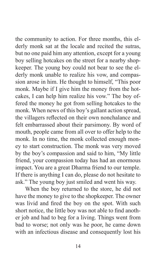the community to action. For three months, this elderly monk sat at the locale and recited the sutras, but no one paid him any attention, except for a young boy selling hotcakes on the street for a nearby shopkeeper. The young boy could not bear to see the elderly monk unable to realize his vow, and compassion arose in him. He thought to himself, "This poor monk. Maybe if I give him the money from the hotcakes, I can help him realize his vow." The boy offered the money he got from selling hotcakes to the monk. When news of this boy's gallant action spread, the villagers reflected on their own nonchalance and felt embarrassed about their parsimony. By word of mouth, people came from all over to offer help to the monk. In no time, the monk collected enough money to start construction. The monk was very moved by the boy's compassion and said to him, "My little friend, your compassion today has had an enormous impact. You are a great Dharma friend to our temple. If there is anything I can do, please do not hesitate to ask." The young boy just smiled and went his way.

When the boy returned to the store, he did not have the money to give to the shopkeeper. The owner was livid and fired the boy on the spot. With such short notice, the little boy was not able to find another job and had to beg for a living. Things went from bad to worse; not only was he poor, he came down with an infectious disease and consequently lost his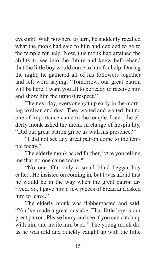eyesight. With nowhere to turn, he suddenly recalled what the monk had said to him and decided to go to the temple for help. Now, this monk had attained the ability to see into the future and knew beforehand that the little boy would come to him for help. During the night, he gathered all of his followers together and left word saying, "Tomorrow, our great patron will be here. I want you all to be ready to receive him and show him the utmost respect."

The next day, everyone got up early in the morning to clean and dust. They waited and waited, but no one of importance came to the temple. Later, the elderly monk asked the monk in charge of hospitality, "Did our great patron grace us with his presence?"

"I did not see any great patron come to the temple today."

The elderly monk asked further, "Are you telling me that no one came today?"

"No one. Oh, only a small blind beggar boy called. He insisted on coming in, but I was afraid that he would be in the way when the great patron arrived. So, I gave him a few pieces of bread and asked him to leave"

The elderly monk was flabbergasted and said, "You've made a great mistake. That little boy is our great patron. Please hurry and see if you can catch up with him and invite him back." The young monk did as he was told and quickly caught up with the little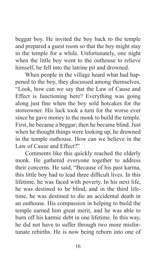beggar boy. He invited the boy back to the temple and prepared a guest room so that the boy might stay in the temple for a while. Unfortunately, one night when the little boy went to the outhouse to relieve himself, he fell into the latrine pit and drowned.

When people in the village heard what had happened to the boy, they discussed among themselves, "Look, how can we say that the Law of Cause and Effect is functioning here? Everything was going along just fine when the boy sold hotcakes for the storeowner. His luck took a turn for the worse ever since he gave money to the monk to build the temple. First, he became a beggar; then he became blind. Just when he thought things were looking up, he drowned in the temple outhouse. How can we believe in the Law of Cause and Effect?"

Comments like this quickly reached the elderly monk. He gathered everyone together to address their concerns. He said, "Because of his past karma, this little boy had to lead three difficult lives. In this lifetime, he was faced with poverty. In his next life, he was destined to be blind, and in the third lifetime, he was destined to die an accidental death in an outhouse. His compassion in helping to build the temple earned him great merit, and he was able to burn off his karmic debt in one lifetime. In this way, he did not have to suffer through two more misfortunate rebirths. He is now being reborn into one of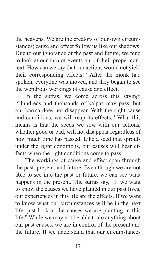the heavens. We are the creators of our own circumstances; cause and effect follow us like our shadows. Due to our ignorance of the past and future, we tend to look at our turn of events out of their proper context. How can we say that our actions would not yield their corresponding effects!" After the monk had spoken, everyone was moved, and they began to see the wondrous workings of cause and effect.

In the sutras, we come across this saying: "Hundreds and thousands of kalpas may pass, but our karma does not disappear. With the right cause and conditions, we will reap its effects." What this means is that the seeds we sow with our actions, whether good or bad, will not disappear regardless of how much time has passed. Like a seed that sprouts under the right conditions, our causes will bear effects when the right conditions come to pass.

The workings of cause and effect span through the past, present, and future. Even though we are not able to see into the past or future, we can see what happens in the present. The sutras say, "If we want to know the causes we have planted in our past lives, our experiences in this life are the effects. If we want to know what our circumstances will be in the next life, just look at the causes we are planting in this life." While we may not be able to do anything about our past causes, we are in control of the present and the future. If we understand that our circumstances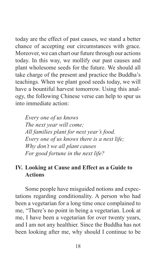today are the effect of past causes, we stand a better chance of accepting our circumstances with grace. Moreover, we can chart our future through our actions today. In this way, we mollify our past causes and plant wholesome seeds for the future. We should all take charge of the present and practice the Buddha's teachings. When we plant good seeds today, we will have a bountiful harvest tomorrow. Using this analogy, the following Chinese verse can help to spur us into immediate action:

*Every one of us knows The next year will come; All families plant for next year's food. Every one of us knows there is a next life; Why don't we all plant causes For good fortune in the next life?*

#### **IV. Looking at Cause and Effect as a Guide to Actions**

Some people have misguided notions and expectations regarding conditionality. A person who had been a vegetarian for a long time once complained to me, "There's no point in being a vegetarian. Look at me, I have been a vegetarian for over twenty years, and I am not any healthier. Since the Buddha has not been looking after me, why should I continue to be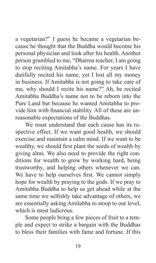a vegetarian?" I guess he became a vegetarian because he thought that the Buddha would become his personal physician and look after his health. Another person grumbled to me, "Dharma teacher, I am going to stop reciting Amitabha's name. For years I have dutifully recited his name, yet I lost all my money in business. If Amitabha is not going to take care of me, why should I recite his name?" Ah, he recited Amitabha Buddha's name not to be reborn into the Pure Land but because he wanted Amitabha to provide him with financial stability. All of these are unreasonable expectations of the Buddhas.

We must understand that each cause has its respective effect. If we want good health, we should exercise and maintain a calm mind. If we want to be wealthy, we should first plant the seeds of wealth by giving alms. We also need to provide the right conditions for wealth to grow by working hard, being trustworthy, and helping others whenever we can. We have to help ourselves first. We cannot simply hope for wealth by praying to the gods. If we pray to Amitabha Buddha to help us get ahead while at the same time we selfishly take advantage of others, we are essentially asking Amitabha to stoop to our level, which is most ludicrous.

Some people bring a few pieces of fruit to a temple and expect to strike a bargain with the Buddhas to bless their families with fame and fortune. If this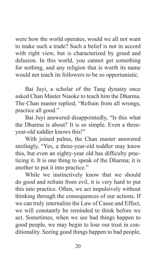were how the world operates, would we all not want to make such a trade? Such a belief is not in accord with right view, but is characterized by greed and delusion. In this world, you cannot get something for nothing, and any religion that is worth its name would not teach its followers to be so opportunistic.

Bai Juyi, a scholar of the Tang dynasty once asked Chan Master Niaoke to teach him the Dharma. The Chan master replied, "Refrain from all wrongs, practice all good."

Bai Juyi answered disappointedly, "Is this what the Dharma is about? It is so simple. Even a threeyear-old toddler knows this!"

With joined palms, the Chan master answered smilingly, "Yes, a three-year-old toddler may know this, but even an eighty-year old has difficulty practicing it. It is one thing to speak of the Dharma; it is another to put it into practice."

While we instinctively know that we should do good and refrain from evil, it is very hard to put this into practice. Often, we act impulsively without thinking through the consequences of our actions. If we can truly internalize the Law of Cause and Effect, we will constantly be reminded to think before we act. Sometimes, when we see bad things happen to good people, we may begin to lose our trust in conditionality. Seeing good things happen to bad people,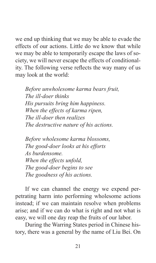we end up thinking that we may be able to evade the effects of our actions. Little do we know that while we may be able to temporarily escape the laws of society, we will never escape the effects of conditionality. The following verse reflects the way many of us may look at the world:

*Before unwholesome karma bears fruit, The ill-doer thinks His pursuits bring him happiness. When the effects of karma ripen, The ill-doer then realizes The destructive nature of his actions.*

*Before wholesome karma blossoms, The good-doer looks at his efforts As burdensome. When the effects unfold, The good-doer begins to see The goodness of his actions.*

If we can channel the energy we expend perpetrating harm into performing wholesome actions instead; if we can maintain resolve when problems arise; and if we can do what is right and not what is easy, we will one day reap the fruits of our labor.

During the Warring States period in Chinese history, there was a general by the name of Liu Bei. On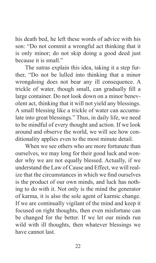his death bed, he left these words of advice with his son: "Do not commit a wrongful act thinking that it is only minor; do not skip doing a good deed just because it is small."

The sutras explain this idea, taking it a step further, "Do not be lulled into thinking that a minor wrongdoing does not bear any ill consequence. A trickle of water, though small, can gradually fill a large container. Do not look down on a minor benevolent act, thinking that it will not yield any blessings. A small blessing like a trickle of water can accumulate into great blessings." Thus, in daily life, we need to be mindful of every thought and action. If we look around and observe the world, we will see how conditionality applies even to the most minute detail.

When we see others who are more fortunate than ourselves, we may long for their good luck and wonder why we are not equally blessed. Actually, if we understand the Law of Cause and Effect, we will realize that the circumstances in which we find ourselves is the product of our own minds, and luck has nothing to do with it. Not only is the mind the generator of karma, it is also the sole agent of karmic change. If we are continually vigilant of the mind and keep it focused on right thoughts, then even misfortune can be changed for the better. If we let our minds run wild with ill thoughts, then whatever blessings we have cannot last.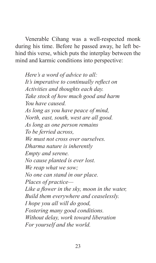Venerable Cihang was a well-respected monk during his time. Before he passed away, he left behind this verse, which puts the interplay between the mind and karmic conditions into perspective:

*Here's a word of advice to all: It's imperative to continually reflect on Activities and thoughts each day. Take stock of how much good and harm You have caused. As long as you have peace of mind, North, east, south, west are all good. As long as one person remains To be ferried across, We must not cross over ourselves. Dharma nature is inherently Empty and serene. No cause planted is ever lost. We reap what we sow; No one can stand in our place. Places of practice— Like a flower in the sky, moon in the water, Build them everywhere and ceaselessly. I hope you all will do good, Fostering many good conditions. Without delay, work toward liberation For yourself and the world.*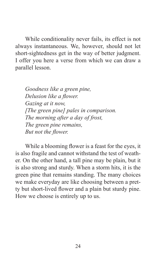While conditionality never fails, its effect is not always instantaneous. We, however, should not let short-sightedness get in the way of better judgment. I offer you here a verse from which we can draw a parallel lesson.

*Goodness like a green pine, Delusion like a flower. Gazing at it now, [The green pine] pales in comparison. The morning after a day of frost, The green pine remains, But not the flower.*

While a blooming flower is a feast for the eyes, it is also fragile and cannot withstand the test of weather. On the other hand, a tall pine may be plain, but it is also strong and sturdy. When a storm hits, it is the green pine that remains standing. The many choices we make everyday are like choosing between a pretty but short-lived flower and a plain but sturdy pine. How we choose is entirely up to us.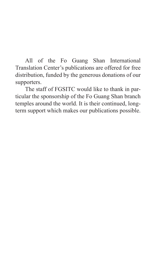All of the Fo Guang Shan International Translation Center's publications are offered for free distribution, funded by the generous donations of our supporters.

The staff of FGSITC would like to thank in particular the sponsorship of the Fo Guang Shan branch temples around the world. It is their continued, longterm support which makes our publications possible.